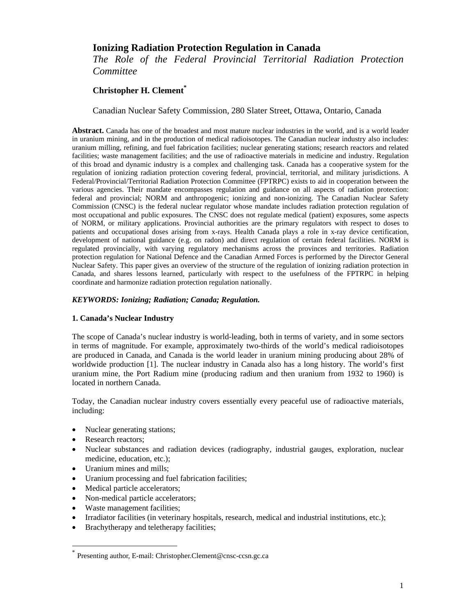# **Ionizing Radiation Protection Regulation in Canada**

*The Role of the Federal Provincial Territorial Radiation Protection Committee* 

# **Christopher H. Clement\***

Canadian Nuclear Safety Commission, 280 Slater Street, Ottawa, Ontario, Canada

**Abstract.** Canada has one of the broadest and most mature nuclear industries in the world, and is a world leader in uranium mining, and in the production of medical radioisotopes. The Canadian nuclear industry also includes: uranium milling, refining, and fuel fabrication facilities; nuclear generating stations; research reactors and related facilities; waste management facilities; and the use of radioactive materials in medicine and industry. Regulation of this broad and dynamic industry is a complex and challenging task. Canada has a cooperative system for the regulation of ionizing radiation protection covering federal, provincial, territorial, and military jurisdictions. A Federal/Provincial/Territorial Radiation Protection Committee (FPTRPC) exists to aid in cooperation between the various agencies. Their mandate encompasses regulation and guidance on all aspects of radiation protection: federal and provincial; NORM and anthropogenic; ionizing and non-ionizing. The Canadian Nuclear Safety Commission (CNSC) is the federal nuclear regulator whose mandate includes radiation protection regulation of most occupational and public exposures. The CNSC does not regulate medical (patient) exposures, some aspects of NORM, or military applications. Provincial authorities are the primary regulators with respect to doses to patients and occupational doses arising from x-rays. Health Canada plays a role in x-ray device certification, development of national guidance (e.g. on radon) and direct regulation of certain federal facilities. NORM is regulated provincially, with varying regulatory mechanisms across the provinces and territories. Radiation protection regulation for National Defence and the Canadian Armed Forces is performed by the Director General Nuclear Safety. This paper gives an overview of the structure of the regulation of ionizing radiation protection in Canada, and shares lessons learned, particularly with respect to the usefulness of the FPTRPC in helping coordinate and harmonize radiation protection regulation nationally.

## *KEYWORDS: Ionizing; Radiation; Canada; Regulation.*

#### **1. Canada's Nuclear Industry**

The scope of Canada's nuclear industry is world-leading, both in terms of variety, and in some sectors in terms of magnitude. For example, approximately two-thirds of the world's medical radioisotopes are produced in Canada, and Canada is the world leader in uranium mining producing about 28% of worldwide production [1]. The nuclear industry in Canada also has a long history. The world's first uranium mine, the Port Radium mine (producing radium and then uranium from 1932 to 1960) is located in northern Canada.

Today, the Canadian nuclear industry covers essentially every peaceful use of radioactive materials, including:

- Nuclear generating stations;
- Research reactors;

l

- Nuclear substances and radiation devices (radiography, industrial gauges, exploration, nuclear medicine, education, etc.);
- Uranium mines and mills;
- Uranium processing and fuel fabrication facilities;
- Medical particle accelerators;
- Non-medical particle accelerators;
- Waste management facilities;
- Irradiator facilities (in veterinary hospitals, research, medical and industrial institutions, etc.);
- Brachytherapy and teletherapy facilities;

Presenting author, E-mail: Christopher.Clement@cnsc-ccsn.gc.ca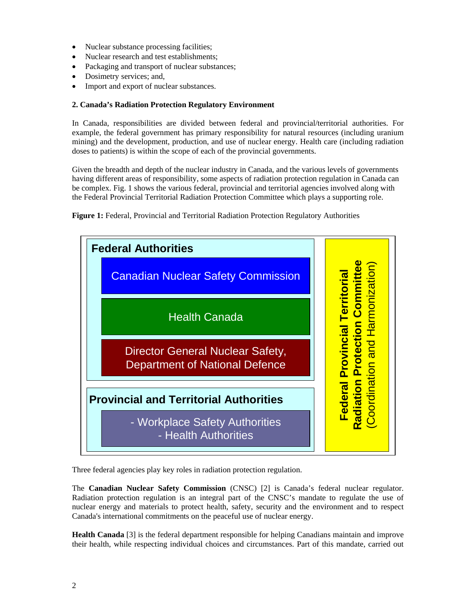- Nuclear substance processing facilities;
- Nuclear research and test establishments;
- Packaging and transport of nuclear substances;
- Dosimetry services; and,
- Import and export of nuclear substances.

#### **2. Canada's Radiation Protection Regulatory Environment**

In Canada, responsibilities are divided between federal and provincial/territorial authorities. For example, the federal government has primary responsibility for natural resources (including uranium mining) and the development, production, and use of nuclear energy. Health care (including radiation doses to patients) is within the scope of each of the provincial governments.

Given the breadth and depth of the nuclear industry in Canada, and the various levels of governments having different areas of responsibility, some aspects of radiation protection regulation in Canada can be complex. Fig. 1 shows the various federal, provincial and territorial agencies involved along with the Federal Provincial Territorial Radiation Protection Committee which plays a supporting role.



**Figure 1:** Federal, Provincial and Territorial Radiation Protection Regulatory Authorities

Three federal agencies play key roles in radiation protection regulation.

The **Canadian Nuclear Safety Commission** (CNSC) [2] is Canada's federal nuclear regulator. Radiation protection regulation is an integral part of the CNSC's mandate to regulate the use of nuclear energy and materials to protect health, safety, security and the environment and to respect Canada's international commitments on the peaceful use of nuclear energy.

**Health Canada** [3] is the federal department responsible for helping Canadians maintain and improve their health, while respecting individual choices and circumstances. Part of this mandate, carried out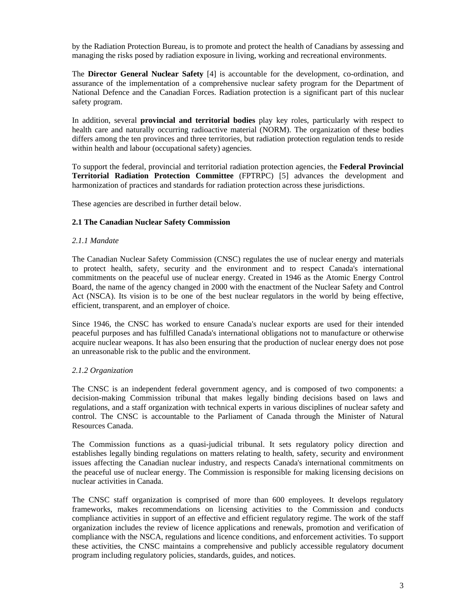by the Radiation Protection Bureau, is to promote and protect the health of Canadians by assessing and managing the risks posed by radiation exposure in living, working and recreational environments.

The **Director General Nuclear Safety** [4] is accountable for the development, co-ordination, and assurance of the implementation of a comprehensive nuclear safety program for the Department of National Defence and the Canadian Forces. Radiation protection is a significant part of this nuclear safety program.

In addition, several **provincial and territorial bodies** play key roles, particularly with respect to health care and naturally occurring radioactive material (NORM). The organization of these bodies differs among the ten provinces and three territories, but radiation protection regulation tends to reside within health and labour (occupational safety) agencies.

To support the federal, provincial and territorial radiation protection agencies, the **Federal Provincial Territorial Radiation Protection Committee** (FPTRPC) [5] advances the development and harmonization of practices and standards for radiation protection across these jurisdictions.

These agencies are described in further detail below.

#### **2.1 The Canadian Nuclear Safety Commission**

#### *2.1.1 Mandate*

The Canadian Nuclear Safety Commission (CNSC) regulates the use of nuclear energy and materials to protect health, safety, security and the environment and to respect Canada's international commitments on the peaceful use of nuclear energy. Created in 1946 as the Atomic Energy Control Board, the name of the agency changed in 2000 with the enactment of the Nuclear Safety and Control Act (NSCA). Its vision is to be one of the best nuclear regulators in the world by being effective, efficient, transparent, and an employer of choice.

Since 1946, the CNSC has worked to ensure Canada's nuclear exports are used for their intended peaceful purposes and has fulfilled Canada's international obligations not to manufacture or otherwise acquire nuclear weapons. It has also been ensuring that the production of nuclear energy does not pose an unreasonable risk to the public and the environment.

#### *2.1.2 Organization*

The CNSC is an independent federal government agency, and is composed of two components: a decision-making Commission tribunal that makes legally binding decisions based on laws and regulations, and a staff organization with technical experts in various disciplines of nuclear safety and control. The CNSC is accountable to the Parliament of Canada through the Minister of Natural Resources Canada.

The Commission functions as a quasi-judicial tribunal. It sets regulatory policy direction and establishes legally binding regulations on matters relating to health, safety, security and environment issues affecting the Canadian nuclear industry, and respects Canada's international commitments on the peaceful use of nuclear energy. The Commission is responsible for making licensing decisions on nuclear activities in Canada.

The CNSC staff organization is comprised of more than 600 employees. It develops regulatory frameworks, makes recommendations on licensing activities to the Commission and conducts compliance activities in support of an effective and efficient regulatory regime. The work of the staff organization includes the review of licence applications and renewals, promotion and verification of compliance with the NSCA, regulations and licence conditions, and enforcement activities. To support these activities, the CNSC maintains a comprehensive and publicly accessible regulatory document program including regulatory policies, standards, guides, and notices.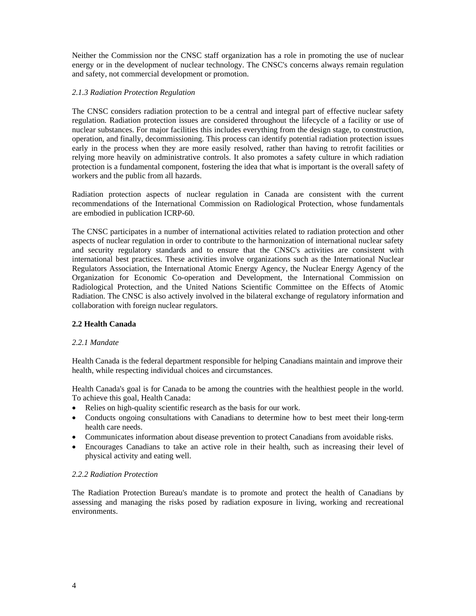Neither the Commission nor the CNSC staff organization has a role in promoting the use of nuclear energy or in the development of nuclear technology. The CNSC's concerns always remain regulation and safety, not commercial development or promotion.

#### *2.1.3 Radiation Protection Regulation*

The CNSC considers radiation protection to be a central and integral part of effective nuclear safety regulation. Radiation protection issues are considered throughout the lifecycle of a facility or use of nuclear substances. For major facilities this includes everything from the design stage, to construction, operation, and finally, decommissioning. This process can identify potential radiation protection issues early in the process when they are more easily resolved, rather than having to retrofit facilities or relying more heavily on administrative controls. It also promotes a safety culture in which radiation protection is a fundamental component, fostering the idea that what is important is the overall safety of workers and the public from all hazards.

Radiation protection aspects of nuclear regulation in Canada are consistent with the current recommendations of the International Commission on Radiological Protection, whose fundamentals are embodied in publication ICRP-60.

The CNSC participates in a number of international activities related to radiation protection and other aspects of nuclear regulation in order to contribute to the harmonization of international nuclear safety and security regulatory standards and to ensure that the CNSC's activities are consistent with international best practices. These activities involve organizations such as the International Nuclear Regulators Association, the International Atomic Energy Agency, the Nuclear Energy Agency of the Organization for Economic Co-operation and Development, the International Commission on Radiological Protection, and the United Nations Scientific Committee on the Effects of Atomic Radiation. The CNSC is also actively involved in the bilateral exchange of regulatory information and collaboration with foreign nuclear regulators.

## **2.2 Health Canada**

#### *2.2.1 Mandate*

Health Canada is the federal department responsible for helping Canadians maintain and improve their health, while respecting individual choices and circumstances.

Health Canada's goal is for Canada to be among the countries with the healthiest people in the world. To achieve this goal, Health Canada:

- Relies on high-quality scientific research as the basis for our work.
- Conducts ongoing consultations with Canadians to determine how to best meet their long-term health care needs.
- Communicates information about disease prevention to protect Canadians from avoidable risks.
- Encourages Canadians to take an active role in their health, such as increasing their level of physical activity and eating well.

#### *2.2.2 Radiation Protection*

The Radiation Protection Bureau's mandate is to promote and protect the health of Canadians by assessing and managing the risks posed by radiation exposure in living, working and recreational environments.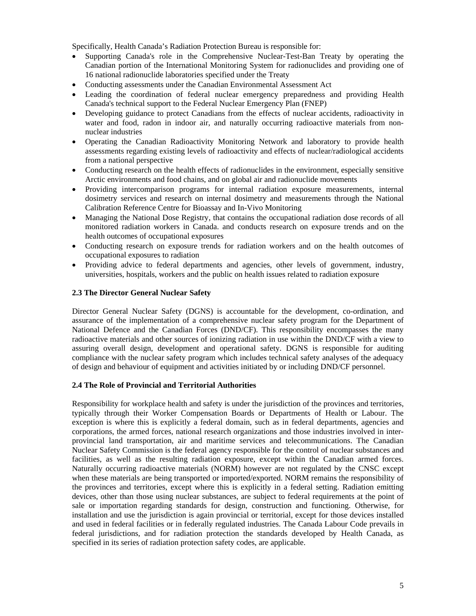Specifically, Health Canada's Radiation Protection Bureau is responsible for:

- Supporting Canada's role in the Comprehensive Nuclear-Test-Ban Treaty by operating the Canadian portion of the International Monitoring System for radionuclides and providing one of 16 national radionuclide laboratories specified under the Treaty
- Conducting assessments under the Canadian Environmental Assessment Act
- Leading the coordination of federal nuclear emergency preparedness and providing Health Canada's technical support to the Federal Nuclear Emergency Plan (FNEP)
- Developing guidance to protect Canadians from the effects of nuclear accidents, radioactivity in water and food, radon in indoor air, and naturally occurring radioactive materials from nonnuclear industries
- Operating the Canadian Radioactivity Monitoring Network and laboratory to provide health assessments regarding existing levels of radioactivity and effects of nuclear/radiological accidents from a national perspective
- Conducting research on the health effects of radionuclides in the environment, especially sensitive Arctic environments and food chains, and on global air and radionuclide movements
- Providing intercomparison programs for internal radiation exposure measurements, internal dosimetry services and research on internal dosimetry and measurements through the National Calibration Reference Centre for Bioassay and In-Vivo Monitoring
- Managing the National Dose Registry, that contains the occupational radiation dose records of all monitored radiation workers in Canada. and conducts research on exposure trends and on the health outcomes of occupational exposures
- Conducting research on exposure trends for radiation workers and on the health outcomes of occupational exposures to radiation
- Providing advice to federal departments and agencies, other levels of government, industry, universities, hospitals, workers and the public on health issues related to radiation exposure

#### **2.3 The Director General Nuclear Safety**

Director General Nuclear Safety (DGNS) is accountable for the development, co-ordination, and assurance of the implementation of a comprehensive nuclear safety program for the Department of National Defence and the Canadian Forces (DND/CF). This responsibility encompasses the many radioactive materials and other sources of ionizing radiation in use within the DND/CF with a view to assuring overall design, development and operational safety. DGNS is responsible for auditing compliance with the nuclear safety program which includes technical safety analyses of the adequacy of design and behaviour of equipment and activities initiated by or including DND/CF personnel.

#### **2.4 The Role of Provincial and Territorial Authorities**

Responsibility for workplace health and safety is under the jurisdiction of the provinces and territories, typically through their Worker Compensation Boards or Departments of Health or Labour. The exception is where this is explicitly a federal domain, such as in federal departments, agencies and corporations, the armed forces, national research organizations and those industries involved in interprovincial land transportation, air and maritime services and telecommunications. The Canadian Nuclear Safety Commission is the federal agency responsible for the control of nuclear substances and facilities, as well as the resulting radiation exposure, except within the Canadian armed forces. Naturally occurring radioactive materials (NORM) however are not regulated by the CNSC except when these materials are being transported or imported/exported. NORM remains the responsibility of the provinces and territories, except where this is explicitly in a federal setting. Radiation emitting devices, other than those using nuclear substances, are subject to federal requirements at the point of sale or importation regarding standards for design, construction and functioning. Otherwise, for installation and use the jurisdiction is again provincial or territorial, except for those devices installed and used in federal facilities or in federally regulated industries. The Canada Labour Code prevails in federal jurisdictions, and for radiation protection the standards developed by Health Canada, as specified in its series of radiation protection safety codes, are applicable.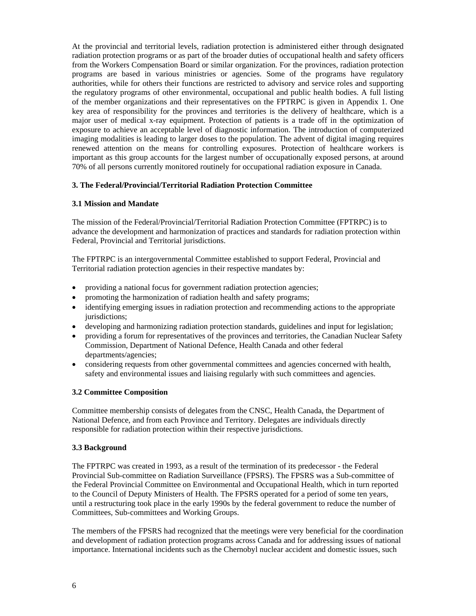At the provincial and territorial levels, radiation protection is administered either through designated radiation protection programs or as part of the broader duties of occupational health and safety officers from the Workers Compensation Board or similar organization. For the provinces, radiation protection programs are based in various ministries or agencies. Some of the programs have regulatory authorities, while for others their functions are restricted to advisory and service roles and supporting the regulatory programs of other environmental, occupational and public health bodies. A full listing of the member organizations and their representatives on the FPTRPC is given in Appendix 1. One key area of responsibility for the provinces and territories is the delivery of healthcare, which is a major user of medical x-ray equipment. Protection of patients is a trade off in the optimization of exposure to achieve an acceptable level of diagnostic information. The introduction of computerized imaging modalities is leading to larger doses to the population. The advent of digital imaging requires renewed attention on the means for controlling exposures. Protection of healthcare workers is important as this group accounts for the largest number of occupationally exposed persons, at around 70% of all persons currently monitored routinely for occupational radiation exposure in Canada.

## **3. The Federal/Provincial/Territorial Radiation Protection Committee**

## **3.1 Mission and Mandate**

The mission of the Federal/Provincial/Territorial Radiation Protection Committee (FPTRPC) is to advance the development and harmonization of practices and standards for radiation protection within Federal, Provincial and Territorial jurisdictions.

The FPTRPC is an intergovernmental Committee established to support Federal, Provincial and Territorial radiation protection agencies in their respective mandates by:

- providing a national focus for government radiation protection agencies;
- promoting the harmonization of radiation health and safety programs;
- identifying emerging issues in radiation protection and recommending actions to the appropriate jurisdictions:
- developing and harmonizing radiation protection standards, guidelines and input for legislation;
- providing a forum for representatives of the provinces and territories, the Canadian Nuclear Safety Commission, Department of National Defence, Health Canada and other federal departments/agencies;
- considering requests from other governmental committees and agencies concerned with health, safety and environmental issues and liaising regularly with such committees and agencies.

#### **3.2 Committee Composition**

Committee membership consists of delegates from the CNSC, Health Canada, the Department of National Defence, and from each Province and Territory. Delegates are individuals directly responsible for radiation protection within their respective jurisdictions.

#### **3.3 Background**

The FPTRPC was created in 1993, as a result of the termination of its predecessor - the Federal Provincial Sub-committee on Radiation Surveillance (FPSRS). The FPSRS was a Sub-committee of the Federal Provincial Committee on Environmental and Occupational Health, which in turn reported to the Council of Deputy Ministers of Health. The FPSRS operated for a period of some ten years, until a restructuring took place in the early 1990s by the federal government to reduce the number of Committees, Sub-committees and Working Groups.

The members of the FPSRS had recognized that the meetings were very beneficial for the coordination and development of radiation protection programs across Canada and for addressing issues of national importance. International incidents such as the Chernobyl nuclear accident and domestic issues, such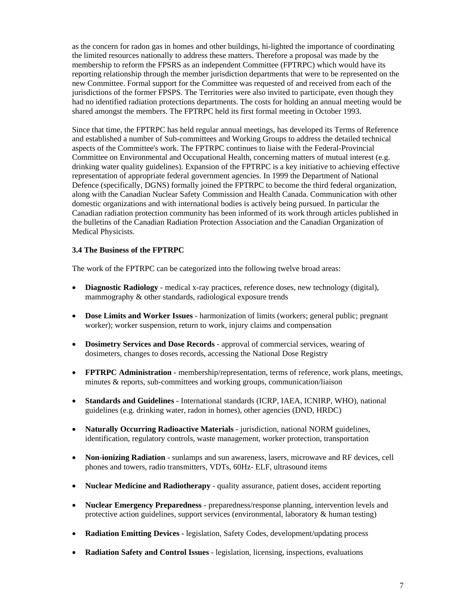as the concern for radon gas in homes and other buildings, hi-lighted the importance of coordinating the limited resources nationally to address these matters. Therefore a proposal was made by the membership to reform the FPSRS as an independent Committee (FPTRPC) which would have its reporting relationship through the member jurisdiction departments that were to be represented on the new Committee. Formal support for the Committee was requested of and received from each of the jurisdictions of the former FPSPS. The Territories were also invited to participate, even though they had no identified radiation protections departments. The costs for holding an annual meeting would be shared amongst the members. The FPTRPC held its first formal meeting in October 1993.

Since that time, the FPTRPC has held regular annual meetings, has developed its Terms of Reference and established a number of Sub-committees and Working Groups to address the detailed technical aspects of the Committee's work. The FPTRPC continues to liaise with the Federal-Provincial Committee on Environmental and Occupational Health, concerning matters of mutual interest (e.g. drinking water quality guidelines). Expansion of the FPTRPC is a key initiative to achieving effective representation of appropriate federal government agencies. In 1999 the Department of National Defence (specifically, DGNS) formally joined the FPTRPC to become the third federal organization, along with the Canadian Nuclear Safety Commission and Health Canada. Communication with other domestic organizations and with international bodies is actively being pursued. In particular the Canadian radiation protection community has been informed of its work through articles published in the bulletins of the Canadian Radiation Protection Association and the Canadian Organization of Medical Physicists.

## **3.4 The Business of the FPTRPC**

The work of the FPTRPC can be categorized into the following twelve broad areas:

- **Diagnostic Radiology** medical x-ray practices, reference doses, new technology (digital), mammography & other standards, radiological exposure trends
- **Dose Limits and Worker Issues** harmonization of limits (workers; general public; pregnant worker); worker suspension, return to work, injury claims and compensation
- **Dosimetry Services and Dose Records** approval of commercial services, wearing of dosimeters, changes to doses records, accessing the National Dose Registry
- **FPTRPC Administration** membership/representation, terms of reference, work plans, meetings, minutes & reports, sub-committees and working groups, communication/liaison
- **Standards and Guidelines** International standards (ICRP, IAEA, ICNIRP, WHO), national guidelines (e.g. drinking water, radon in homes), other agencies (DND, HRDC)
- **Naturally Occurring Radioactive Materials** jurisdiction, national NORM guidelines, identification, regulatory controls, waste management, worker protection, transportation
- **Non-ionizing Radiation** sunlamps and sun awareness, lasers, microwave and RF devices, cell phones and towers, radio transmitters, VDTs, 60Hz- ELF, ultrasound items
- **Nuclear Medicine and Radiotherapy** quality assurance, patient doses, accident reporting
- **Nuclear Emergency Preparedness** preparedness/response planning, intervention levels and protective action guidelines, support services (environmental, laboratory & human testing)
- **Radiation Emitting Devices** legislation, Safety Codes, development/updating process
- **Radiation Safety and Control Issues** legislation, licensing, inspections, evaluations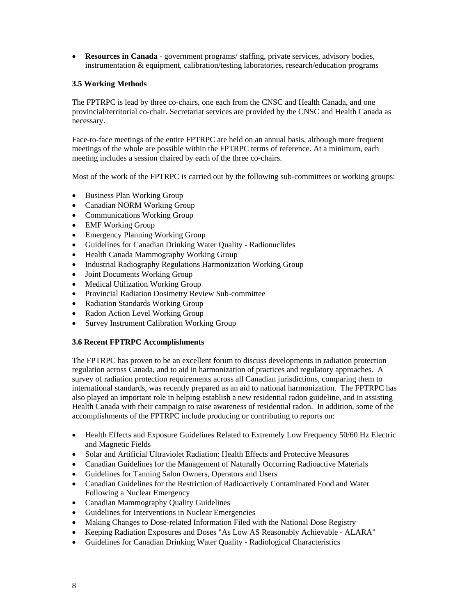• **Resources in Canada** - government programs/ staffing, private services, advisory bodies, instrumentation & equipment, calibration/testing laboratories, research/education programs

## **3.5 Working Methods**

The FPTRPC is lead by three co-chairs, one each from the CNSC and Health Canada, and one provincial/territorial co-chair. Secretariat services are provided by the CNSC and Health Canada as necessary.

Face-to-face meetings of the entire FPTRPC are held on an annual basis, although more frequent meetings of the whole are possible within the FPTRPC terms of reference. At a minimum, each meeting includes a session chaired by each of the three co-chairs.

Most of the work of the FPTRPC is carried out by the following sub-committees or working groups:

- Business Plan Working Group
- Canadian NORM Working Group
- Communications Working Group
- EMF Working Group
- Emergency Planning Working Group
- Guidelines for Canadian Drinking Water Quality Radionuclides
- Health Canada Mammography Working Group
- Industrial Radiography Regulations Harmonization Working Group
- Joint Documents Working Group
- Medical Utilization Working Group
- Provincial Radiation Dosimetry Review Sub-committee
- Radiation Standards Working Group
- Radon Action Level Working Group
- Survey Instrument Calibration Working Group

#### **3.6 Recent FPTRPC Accomplishments**

The FPTRPC has proven to be an excellent forum to discuss developments in radiation protection regulation across Canada, and to aid in harmonization of practices and regulatory approaches. A survey of radiation protection requirements across all Canadian jurisdictions, comparing them to international standards, was recently prepared as an aid to national harmonization. The FPTRPC has also played an important role in helping establish a new residential radon guideline, and in assisting Health Canada with their campaign to raise awareness of residential radon. In addition, some of the accomplishments of the FPTRPC include producing or contributing to reports on:

- Health Effects and Exposure Guidelines Related to Extremely Low Frequency 50/60 Hz Electric and Magnetic Fields
- Solar and Artificial Ultraviolet Radiation: Health Effects and Protective Measures
- Canadian Guidelines for the Management of Naturally Occurring Radioactive Materials
- Guidelines for Tanning Salon Owners, Operators and Users
- Canadian Guidelines for the Restriction of Radioactively Contaminated Food and Water Following a Nuclear Emergency
- Canadian Mammography Quality Guidelines
- Guidelines for Interventions in Nuclear Emergencies
- Making Changes to Dose-related Information Filed with the National Dose Registry
- Keeping Radiation Exposures and Doses "As Low AS Reasonably Achievable ALARA"
- Guidelines for Canadian Drinking Water Quality Radiological Characteristics